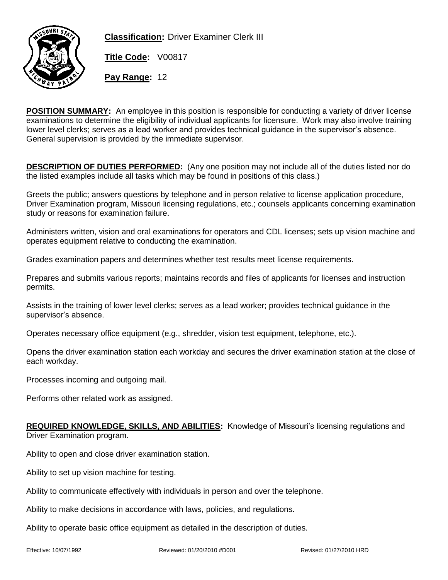

**Classification:** Driver Examiner Clerk III

**Title Code:** V00817

**Pay Range:** 12

**POSITION SUMMARY:** An employee in this position is responsible for conducting a variety of driver license examinations to determine the eligibility of individual applicants for licensure. Work may also involve training lower level clerks; serves as a lead worker and provides technical guidance in the supervisor's absence. General supervision is provided by the immediate supervisor.

**DESCRIPTION OF DUTIES PERFORMED:** (Any one position may not include all of the duties listed nor do the listed examples include all tasks which may be found in positions of this class.)

Greets the public; answers questions by telephone and in person relative to license application procedure, Driver Examination program, Missouri licensing regulations, etc.; counsels applicants concerning examination study or reasons for examination failure.

Administers written, vision and oral examinations for operators and CDL licenses; sets up vision machine and operates equipment relative to conducting the examination.

Grades examination papers and determines whether test results meet license requirements.

Prepares and submits various reports; maintains records and files of applicants for licenses and instruction permits.

Assists in the training of lower level clerks; serves as a lead worker; provides technical guidance in the supervisor's absence.

Operates necessary office equipment (e.g., shredder, vision test equipment, telephone, etc.).

Opens the driver examination station each workday and secures the driver examination station at the close of each workday.

Processes incoming and outgoing mail.

Performs other related work as assigned.

## **REQUIRED KNOWLEDGE, SKILLS, AND ABILITIES:** Knowledge of Missouri's licensing regulations and Driver Examination program.

Ability to open and close driver examination station.

Ability to set up vision machine for testing.

Ability to communicate effectively with individuals in person and over the telephone.

Ability to make decisions in accordance with laws, policies, and regulations.

Ability to operate basic office equipment as detailed in the description of duties.